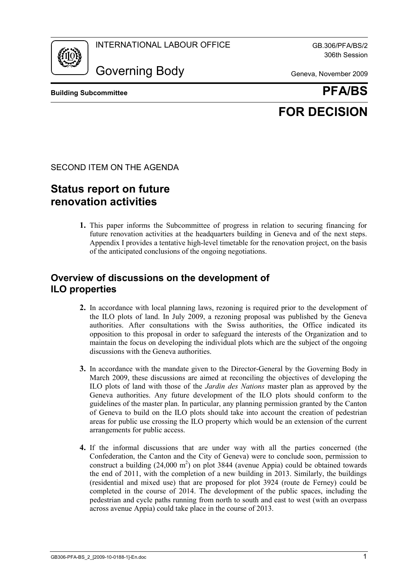

306th Session

Governing Body Geneva, November 2009

**Building Subcommittee PFA/BS**

# **FOR DECISION**

#### SECOND ITEM ON THE AGENDA

# **Status report on future renovation activities**

**1.** This paper informs the Subcommittee of progress in relation to securing financing for future renovation activities at the headquarters building in Geneva and of the next steps. Appendix I provides a tentative high-level timetable for the renovation project, on the basis of the anticipated conclusions of the ongoing negotiations.

### **Overview of discussions on the development of ILO properties**

- **2.** In accordance with local planning laws, rezoning is required prior to the development of the ILO plots of land. In July 2009, a rezoning proposal was published by the Geneva authorities. After consultations with the Swiss authorities, the Office indicated its opposition to this proposal in order to safeguard the interests of the Organization and to maintain the focus on developing the individual plots which are the subject of the ongoing discussions with the Geneva authorities.
- **3.** In accordance with the mandate given to the Director-General by the Governing Body in March 2009, these discussions are aimed at reconciling the objectives of developing the ILO plots of land with those of the *Jardin des Nations* master plan as approved by the Geneva authorities. Any future development of the ILO plots should conform to the guidelines of the master plan. In particular, any planning permission granted by the Canton of Geneva to build on the ILO plots should take into account the creation of pedestrian areas for public use crossing the ILO property which would be an extension of the current arrangements for public access.
- **4.** If the informal discussions that are under way with all the parties concerned (the Confederation, the Canton and the City of Geneva) were to conclude soon, permission to construct a building  $(24,000 \text{ m}^2)$  on plot 3844 (avenue Appia) could be obtained towards the end of 2011, with the completion of a new building in 2013. Similarly, the buildings (residential and mixed use) that are proposed for plot 3924 (route de Ferney) could be completed in the course of 2014. The development of the public spaces, including the pedestrian and cycle paths running from north to south and east to west (with an overpass across avenue Appia) could take place in the course of 2013.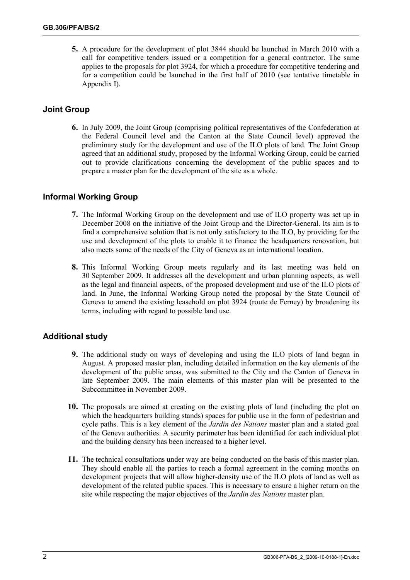**5.** A procedure for the development of plot 3844 should be launched in March 2010 with a call for competitive tenders issued or a competition for a general contractor. The same applies to the proposals for plot 3924, for which a procedure for competitive tendering and for a competition could be launched in the first half of 2010 (see tentative timetable in Appendix I).

#### **Joint Group**

**6.** In July 2009, the Joint Group (comprising political representatives of the Confederation at the Federal Council level and the Canton at the State Council level) approved the preliminary study for the development and use of the ILO plots of land. The Joint Group agreed that an additional study, proposed by the Informal Working Group, could be carried out to provide clarifications concerning the development of the public spaces and to prepare a master plan for the development of the site as a whole.

#### **Informal Working Group**

- **7.** The Informal Working Group on the development and use of ILO property was set up in December 2008 on the initiative of the Joint Group and the Director-General. Its aim is to find a comprehensive solution that is not only satisfactory to the ILO, by providing for the use and development of the plots to enable it to finance the headquarters renovation, but also meets some of the needs of the City of Geneva as an international location.
- **8.** This Informal Working Group meets regularly and its last meeting was held on 30 September 2009. It addresses all the development and urban planning aspects, as well as the legal and financial aspects, of the proposed development and use of the ILO plots of land. In June, the Informal Working Group noted the proposal by the State Council of Geneva to amend the existing leasehold on plot 3924 (route de Ferney) by broadening its terms, including with regard to possible land use.

#### **Additional study**

- **9.** The additional study on ways of developing and using the ILO plots of land began in August. A proposed master plan, including detailed information on the key elements of the development of the public areas, was submitted to the City and the Canton of Geneva in late September 2009. The main elements of this master plan will be presented to the Subcommittee in November 2009.
- **10.** The proposals are aimed at creating on the existing plots of land (including the plot on which the headquarters building stands) spaces for public use in the form of pedestrian and cycle paths. This is a key element of the *Jardin des Nations* master plan and a stated goal of the Geneva authorities. A security perimeter has been identified for each individual plot and the building density has been increased to a higher level.
- **11.** The technical consultations under way are being conducted on the basis of this master plan. They should enable all the parties to reach a formal agreement in the coming months on development projects that will allow higher-density use of the ILO plots of land as well as development of the related public spaces. This is necessary to ensure a higher return on the site while respecting the major objectives of the *Jardin des Nations* master plan.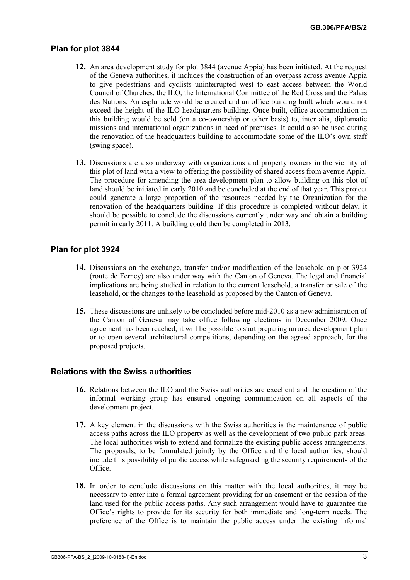#### **Plan for plot 3844**

- **12.** An area development study for plot 3844 (avenue Appia) has been initiated. At the request of the Geneva authorities, it includes the construction of an overpass across avenue Appia to give pedestrians and cyclists uninterrupted west to east access between the World Council of Churches, the ILO, the International Committee of the Red Cross and the Palais des Nations. An esplanade would be created and an office building built which would not exceed the height of the ILO headquarters building. Once built, office accommodation in this building would be sold (on a co-ownership or other basis) to, inter alia, diplomatic missions and international organizations in need of premises. It could also be used during the renovation of the headquarters building to accommodate some of the ILO's own staff (swing space).
- **13.** Discussions are also underway with organizations and property owners in the vicinity of this plot of land with a view to offering the possibility of shared access from avenue Appia. The procedure for amending the area development plan to allow building on this plot of land should be initiated in early 2010 and be concluded at the end of that year. This project could generate a large proportion of the resources needed by the Organization for the renovation of the headquarters building. If this procedure is completed without delay, it should be possible to conclude the discussions currently under way and obtain a building permit in early 2011. A building could then be completed in 2013.

#### **Plan for plot 3924**

- **14.** Discussions on the exchange, transfer and/or modification of the leasehold on plot 3924 (route de Ferney) are also under way with the Canton of Geneva. The legal and financial implications are being studied in relation to the current leasehold, a transfer or sale of the leasehold, or the changes to the leasehold as proposed by the Canton of Geneva.
- **15.** These discussions are unlikely to be concluded before mid-2010 as a new administration of the Canton of Geneva may take office following elections in December 2009. Once agreement has been reached, it will be possible to start preparing an area development plan or to open several architectural competitions, depending on the agreed approach, for the proposed projects.

#### **Relations with the Swiss authorities**

- **16.** Relations between the ILO and the Swiss authorities are excellent and the creation of the informal working group has ensured ongoing communication on all aspects of the development project.
- **17.** A key element in the discussions with the Swiss authorities is the maintenance of public access paths across the ILO property as well as the development of two public park areas. The local authorities wish to extend and formalize the existing public access arrangements. The proposals, to be formulated jointly by the Office and the local authorities, should include this possibility of public access while safeguarding the security requirements of the Office.
- **18.** In order to conclude discussions on this matter with the local authorities, it may be necessary to enter into a formal agreement providing for an easement or the cession of the land used for the public access paths. Any such arrangement would have to guarantee the Office's rights to provide for its security for both immediate and long-term needs. The preference of the Office is to maintain the public access under the existing informal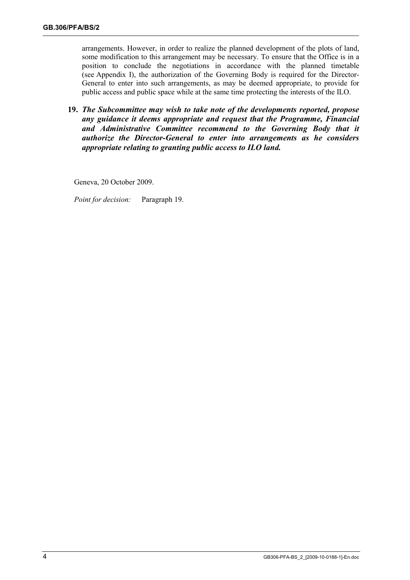arrangements. However, in order to realize the planned development of the plots of land, some modification to this arrangement may be necessary. To ensure that the Office is in a position to conclude the negotiations in accordance with the planned timetable (see Appendix I), the authorization of the Governing Body is required for the Director-General to enter into such arrangements, as may be deemed appropriate, to provide for public access and public space while at the same time protecting the interests of the ILO.

**19.** *The Subcommittee may wish to take note of the developments reported, propose any guidance it deems appropriate and request that the Programme, Financial and Administrative Committee recommend to the Governing Body that it authorize the Director-General to enter into arrangements as he considers appropriate relating to granting public access to ILO land.* 

Geneva, 20 October 2009.

*Point for decision:* Paragraph 19.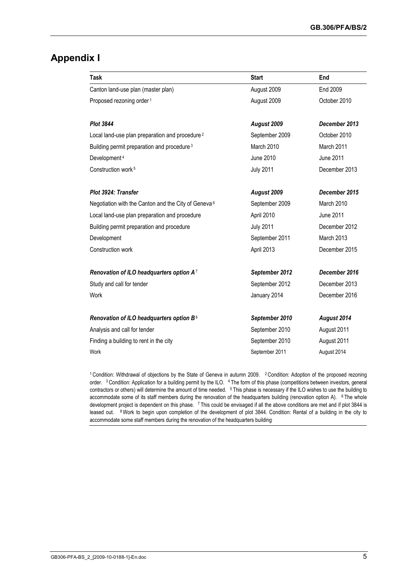### **Appendix I**

| Task                                                            | <b>Start</b>     | End           |
|-----------------------------------------------------------------|------------------|---------------|
| Canton land-use plan (master plan)                              | August 2009      | End 2009      |
| Proposed rezoning order <sup>1</sup>                            | August 2009      | October 2010  |
| <b>Plot 3844</b>                                                | August 2009      | December 2013 |
| Local land-use plan preparation and procedure <sup>2</sup>      | September 2009   | October 2010  |
| Building permit preparation and procedure <sup>3</sup>          | March 2010       | March 2011    |
| Development <sup>4</sup>                                        | June 2010        | June 2011     |
| Construction work <sup>5</sup>                                  | <b>July 2011</b> | December 2013 |
| Plot 3924: Transfer                                             | August 2009      | December 2015 |
| Negotiation with the Canton and the City of Geneva <sup>6</sup> | September 2009   | March 2010    |
| Local land-use plan preparation and procedure                   | April 2010       | June 2011     |
| Building permit preparation and procedure                       | <b>July 2011</b> | December 2012 |
| Development                                                     | September 2011   | March 2013    |
| Construction work                                               | April 2013       | December 2015 |
| Renovation of ILO headquarters option $A^7$                     | September 2012   | December 2016 |
| Study and call for tender                                       | September 2012   | December 2013 |
| Work                                                            | January 2014     | December 2016 |
| Renovation of ILO headquarters option B <sup>8</sup>            | September 2010   | August 2014   |
| Analysis and call for tender                                    | September 2010   | August 2011   |
| Finding a building to rent in the city                          | September 2010   | August 2011   |
| Work                                                            | September 2011   | August 2014   |

1 Condition: Withdrawal of objections by the State of Geneva in autumn 2009. 2 Condition: Adoption of the proposed rezoning order. <sup>3</sup> Condition: Application for a building permit by the ILO. <sup>4</sup> The form of this phase (competitions between investors, general contractors or others) will determine the amount of time needed. <sup>5</sup> This phase is necessary if the ILO wishes to use the building to accommodate some of its staff members during the renovation of the headquarters building (renovation option A). <sup>6</sup> The whole development project is dependent on this phase. <sup>7</sup> This could be envisaged if all the above conditions are met and if plot 3844 is leased out. 8 Work to begin upon completion of the development of plot 3844. Condition: Rental of a building in the city to accommodate some staff members during the renovation of the headquarters building.